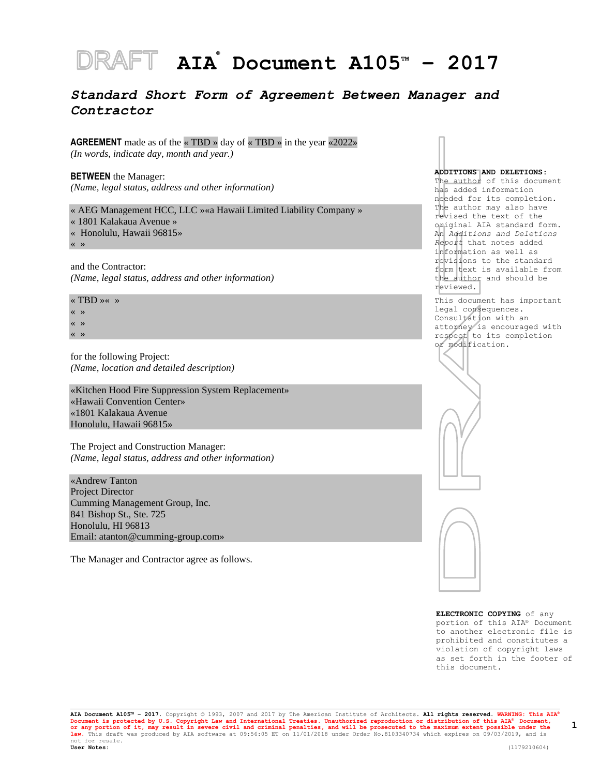# **AIA ® Document A105TM – 2017**

## *Standard Short Form of Agreement Between Manager and Contractor*

**AGREEMENT** made as of the « TBD » day of « TBD » in the year «2022» *(In words, indicate day, month and year.)*

**BETWEEN** the Manager: *(Name, legal status, address and other information)*

« AEG Management HCC, LLC »«a Hawaii Limited Liability Company »

- « 1801 Kalakaua Avenue »
- « Honolulu, Hawaii 96815»

« »

and the Contractor: *(Name, legal status, address and other information)*

« TBD »« » « » « » « »

for the following Project: *(Name, location and detailed description)*

«Kitchen Hood Fire Suppression System Replacement» «Hawaii Convention Center» «1801 Kalakaua Avenue Honolulu, Hawaii 96815»

The Project and Construction Manager: *(Name, legal status, address and other information)*

«Andrew Tanton Project Director Cumming Management Group, Inc. 841 Bishop St., Ste. 725 Honolulu, HI 96813 Email: atanton@cumming-group.com»

The Manager and Contractor agree as follows.

#### **ADDITIONS AND DELETIONS:**

The author of this document has added information needed for its completion. The author may also have revised the text of the original AIA standard form. An *Additions and Deletions Report* that notes added information as well as revisions to the standard form text is available from the author and should be reviewed.

This document has important legal consequences. Consultation with an attorney is encouraged with respect to its completion or modification.





**ELECTRONIC COPYING** of any portion of this AIA® Document to another electronic file is prohibited and constitutes a violation of copyright laws as set forth in the footer of this document.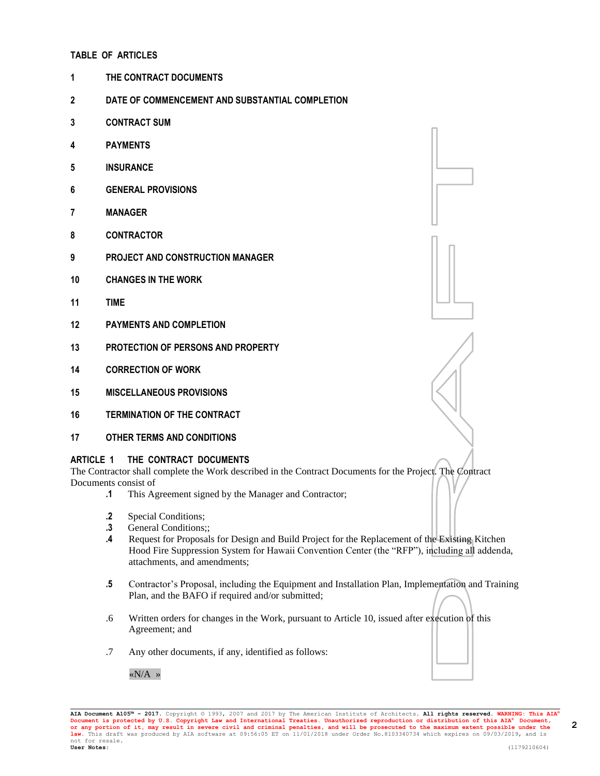## **TABLE OF ARTICLES**

- **1 THE CONTRACT DOCUMENTS**
- **2 DATE OF COMMENCEMENT AND SUBSTANTIAL COMPLETION**
- **3 CONTRACT SUM**
- **4 PAYMENTS**
- **5 INSURANCE**
- **6 GENERAL PROVISIONS**
- **7 MANAGER**
- **8 CONTRACTOR**
- **9 PROJECT AND CONSTRUCTION MANAGER**
- **10 CHANGES IN THE WORK**
- **11 TIME**
- **12 PAYMENTS AND COMPLETION**
- **13 PROTECTION OF PERSONS AND PROPERTY**
- **14 CORRECTION OF WORK**
- **15 MISCELLANEOUS PROVISIONS**
- **16 TERMINATION OF THE CONTRACT**
- **17 OTHER TERMS AND CONDITIONS**

### **ARTICLE 1 THE CONTRACT DOCUMENTS**

The Contractor shall complete the Work described in the Contract Documents for the Project. The Contract Documents consist of

- **.1** This Agreement signed by the Manager and Contractor;
- **.2** Special Conditions;
- **.3** General Conditions;;
- **.4** Request for Proposals for Design and Build Project for the Replacement of the Existing Kitchen Hood Fire Suppression System for Hawaii Convention Center (the "RFP"), including all addenda, attachments, and amendments;
- **.5** Contractor's Proposal, including the Equipment and Installation Plan, Implementation and Training Plan, and the BAFO if required and/or submitted;
- .6 Written orders for changes in the Work, pursuant to Article 10, issued after execution of this Agreement; and
- .7 Any other documents, if any, identified as follows:

«N/A »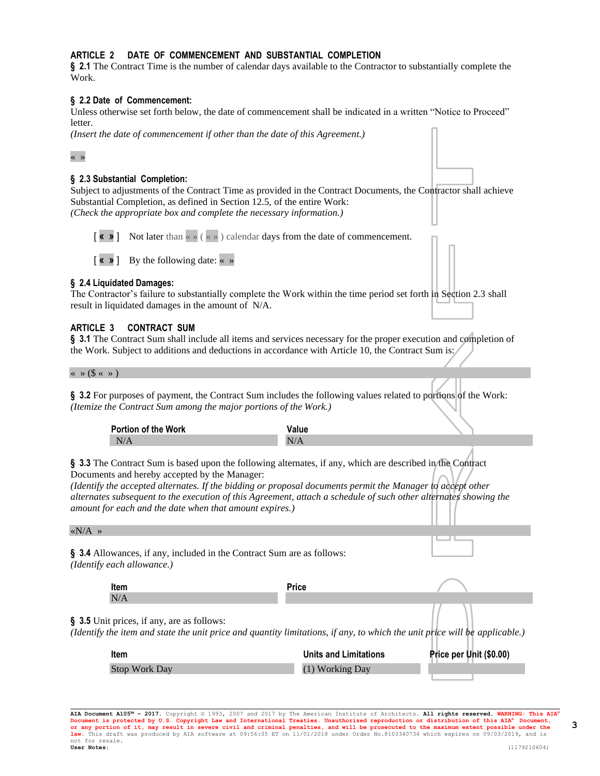## **ARTICLE 2 DATE OF COMMENCEMENT AND SUBSTANTIAL COMPLETION**

**§ 2.1** The Contract Time is the number of calendar days available to the Contractor to substantially complete the Work.

#### **§ 2.2 Date of Commencement:**

Unless otherwise set forth below, the date of commencement shall be indicated in a written "Notice to Proceed" letter.

*(Insert the date of commencement if other than the date of this Agreement.)*

#### « »

## **§ 2.3 Substantial Completion:**

Subject to adjustments of the Contract Time as provided in the Contract Documents, the Contractor shall achieve Substantial Completion, as defined in Section 12.5, of the entire Work: *(Check the appropriate box and complete the necessary information.)*

[ **« »** ] Not later than « » ( « » ) calendar days from the date of commencement.

[ **« »** ] By the following date: « »

#### **§ 2.4 Liquidated Damages:**

The Contractor's failure to substantially complete the Work within the time period set forth in Section 2.3 shall result in liquidated damages in the amount of N/A.

#### **ARTICLE 3 CONTRACT SUM**

**§ 3.1** The Contract Sum shall include all items and services necessary for the proper execution and completion of the Work. Subject to additions and deductions in accordance with Article 10, the Contract Sum is:

 $\langle \langle \rangle \rangle$   $\langle \rangle$   $\langle \rangle$   $\langle \rangle$   $\langle \rangle$ 

**§ 3.2** For purposes of payment, the Contract Sum includes the following values related to portions of the Work: *(Itemize the Contract Sum among the major portions of the Work.)*

| Portion of the Work |  |  |
|---------------------|--|--|
| N.                  |  |  |

**§ 3.3** The Contract Sum is based upon the following alternates, if any, which are described in the Contract Documents and hereby accepted by the Manager:

*(Identify the accepted alternates. If the bidding or proposal documents permit the Manager to accept other alternates subsequent to the execution of this Agreement, attach a schedule of such other alternates showing the amount for each and the date when that amount expires.)*

 $\langle N/A \rangle$ 

**§ 3.4** Allowances, if any, included in the Contract Sum are as follows: *(Identify each allowance.)*

| ltem                                                                                                                                                                     | <b>Price</b>                 |                         |
|--------------------------------------------------------------------------------------------------------------------------------------------------------------------------|------------------------------|-------------------------|
| N/A                                                                                                                                                                      |                              |                         |
| § 3.5 Unit prices, if any, are as follows:<br>(Identify the item and state the unit price and quantity limitations, if any, to which the unit price will be applicable.) |                              |                         |
| Item                                                                                                                                                                     | <b>Units and Limitations</b> | Price per Unit (\$0.00) |
| <b>Stop Work Day</b>                                                                                                                                                     | (1) Working Day              |                         |

**AIA Document A105™ – 2017.** Copyright © 1993, 2007 and 2017 by The American Institute of Architects**. All rights reserved. WARNING: This AIA®**  Document is protected by U.S. Copyright Law and International Treaties. Unauthorized reproduction or distribution of this AIA® Document,<br>or any portion of it, may result in severe civil and criminal penalties, and will be **law.** This draft was produced by AIA software at 09:56:05 ET on 11/01/2018 under Order No.8103340734 which expires on 09/03/2019, and is not for resale.<br>User Notes: **User Notes:** (1179210604)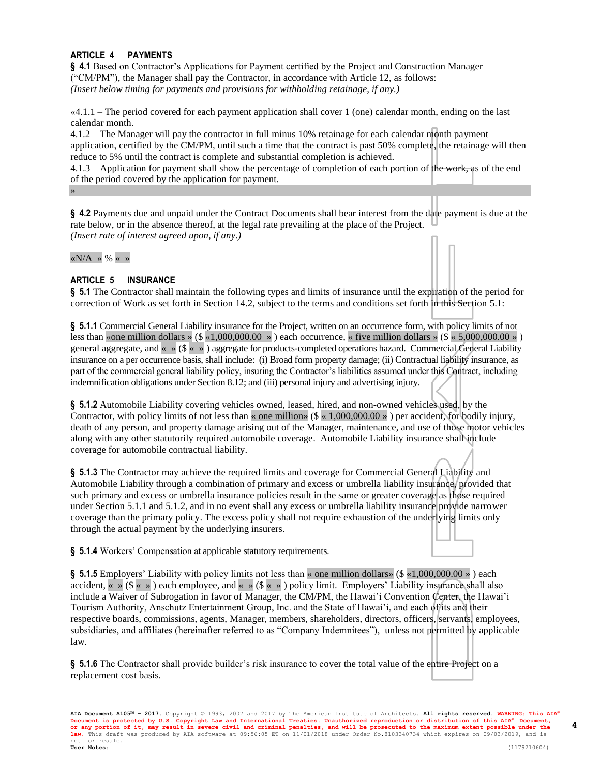## **ARTICLE 4 PAYMENTS**

**§ 4.1** Based on Contractor's Applications for Payment certified by the Project and Construction Manager ("CM/PM"), the Manager shall pay the Contractor, in accordance with Article 12, as follows: *(Insert below timing for payments and provisions for withholding retainage, if any.)*

«4.1.1 – The period covered for each payment application shall cover 1 (one) calendar month, ending on the last calendar month.

4.1.2 – The Manager will pay the contractor in full minus 10% retainage for each calendar month payment application, certified by the CM/PM, until such a time that the contract is past 50% complete, the retainage will then reduce to 5% until the contract is complete and substantial completion is achieved.

4.1.3 – Application for payment shall show the percentage of completion of each portion of the work, as of the end of the period covered by the application for payment.

**§ 4.2** Payments due and unpaid under the Contract Documents shall bear interest from the date payment is due at the rate below, or in the absence thereof, at the legal rate prevailing at the place of the Project. *(Insert rate of interest agreed upon, if any.)*

«N/A »  $% \times$  »

»

## **ARTICLE 5 INSURANCE**

**§ 5.1** The Contractor shall maintain the following types and limits of insurance until the expiration of the period for correction of Work as set forth in Section 14.2, subject to the terms and conditions set forth in this Section 5.1:

**§ 5.1.1** Commercial General Liability insurance for the Project, written on an occurrence form, with policy limits of not less than «one million dollars » (\$ «1,000,000.00 ») each occurrence, « five million dollars » (\$ « 5,000,000.00 ») general aggregate, and « » (\$ « » ) aggregate for products-completed operations hazard. Commercial General Liability insurance on a per occurrence basis, shall include: (i) Broad form property damage; (ii) Contractual liability insurance, as part of the commercial general liability policy, insuring the Contractor's liabilities assumed under this Contract, including indemnification obligations under Section 8.12; and (iii) personal injury and advertising injury.

**§ 5.1.2** Automobile Liability covering vehicles owned, leased, hired, and non-owned vehicles used, by the Contractor, with policy limits of not less than « one million» ( $\frac{1}{2} \times 1,000,000.00 \times$  ) per accident, for bodily injury, death of any person, and property damage arising out of the Manager, maintenance, and use of those motor vehicles along with any other statutorily required automobile coverage. Automobile Liability insurance shall include coverage for automobile contractual liability.

**§ 5.1.3** The Contractor may achieve the required limits and coverage for Commercial General Liability and Automobile Liability through a combination of primary and excess or umbrella liability insurance, provided that such primary and excess or umbrella insurance policies result in the same or greater coverage as those required under Section 5.1.1 and 5.1.2, and in no event shall any excess or umbrella liability insurance provide narrower coverage than the primary policy. The excess policy shall not require exhaustion of the underlying limits only through the actual payment by the underlying insurers.

**§ 5.1.4** Workers' Compensation at applicable statutory requirements.

**§ 5.1.5** Employers' Liability with policy limits not less than « one million dollars» (\$ «1,000,000.00 » ) each accident,  $\langle \times \rangle$  ( $\langle \times \rangle$ ) each employee, and  $\langle \times \rangle$  ( $\langle \times \rangle$ ) policy limit. Employers' Liability insurance shall also include a Waiver of Subrogation in favor of Manager, the CM/PM, the Hawai'i Convention Center, the Hawai'i Tourism Authority, Anschutz Entertainment Group, Inc. and the State of Hawai'i, and each of its and their respective boards, commissions, agents, Manager, members, shareholders, directors, officers, servants, employees, subsidiaries, and affiliates (hereinafter referred to as "Company Indemnitees"), unless not permitted by applicable law.

**§ 5.1.6** The Contractor shall provide builder's risk insurance to cover the total value of the entire Project on a replacement cost basis.

**AIA Document A105™ – 2017.** Copyright © 1993, 2007 and 2017 by The American Institute of Architects**. All rights reserved. WARNING: This AIA®**  Document is protected by U.S. Copyright Law and International Treaties. Unauthorized reproduction or distribution of this AIA® Document,<br>or any portion of it, may result in severe civil and criminal penalties, and will be **law.** This draft was produced by AIA software at 09:56:05 ET on 11/01/2018 under Order No.8103340734 which expires on 09/03/2019, and is not for resale.<br>**User Notes: User Notes:** (1179210604)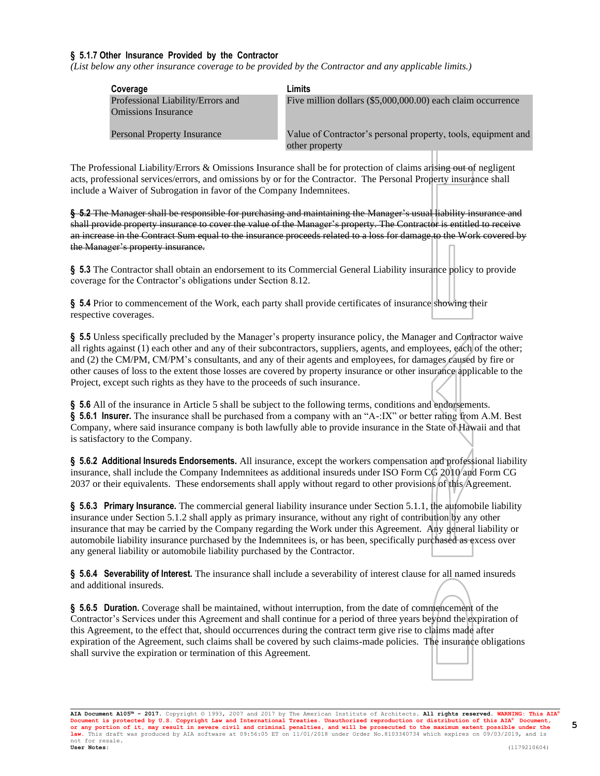## **§ 5.1.7 Other Insurance Provided by the Contractor**

*(List below any other insurance coverage to be provided by the Contractor and any applicable limits.)*

| Coverage                           | Limits                                                        |
|------------------------------------|---------------------------------------------------------------|
| Professional Liability/Errors and  | Five million dollars (\$5,000,000.00) each claim occurrence   |
| <b>Omissions Insurance</b>         |                                                               |
| <b>Personal Property Insurance</b> | Value of Contractor's personal property, tools, equipment and |
|                                    | other property                                                |

The Professional Liability/Errors & Omissions Insurance shall be for protection of claims arising out of negligent acts, professional services/errors, and omissions by or for the Contractor. The Personal Property insurance shall include a Waiver of Subrogation in favor of the Company Indemnitees.

**§ 5.2** The Manager shall be responsible for purchasing and maintaining the Manager's usual liability insurance and shall provide property insurance to cover the value of the Manager's property. The Contractor is entitled to receive an increase in the Contract Sum equal to the insurance proceeds related to a loss for damage to the Work covered by the Manager's property insurance.

**§ 5.3** The Contractor shall obtain an endorsement to its Commercial General Liability insurance policy to provide coverage for the Contractor's obligations under Section 8.12.

**§ 5.4** Prior to commencement of the Work, each party shall provide certificates of insurance showing their respective coverages.

**§ 5.5** Unless specifically precluded by the Manager's property insurance policy, the Manager and Contractor waive all rights against (1) each other and any of their subcontractors, suppliers, agents, and employees, each of the other; and (2) the CM/PM, CM/PM's consultants, and any of their agents and employees, for damages caused by fire or other causes of loss to the extent those losses are covered by property insurance or other insurance applicable to the Project, except such rights as they have to the proceeds of such insurance.

**§ 5.6** All of the insurance in Article 5 shall be subject to the following terms, conditions and endorsements. **§ 5.6.1 Insurer.** The insurance shall be purchased from a company with an "A-:IX" or better rating from A.M. Best Company, where said insurance company is both lawfully able to provide insurance in the State of Hawaii and that is satisfactory to the Company.

**§ 5.6.2 Additional Insureds Endorsements.** All insurance, except the workers compensation and professional liability insurance, shall include the Company Indemnitees as additional insureds under ISO Form CG 2010 and Form CG 2037 or their equivalents. These endorsements shall apply without regard to other provisions of this Agreement.

**§ 5.6.3 Primary Insurance.** The commercial general liability insurance under Section 5.1.1, the automobile liability insurance under Section 5.1.2 shall apply as primary insurance, without any right of contribution by any other insurance that may be carried by the Company regarding the Work under this Agreement. Any general liability or automobile liability insurance purchased by the Indemnitees is, or has been, specifically purchased as excess over any general liability or automobile liability purchased by the Contractor.

**§ 5.6.4 Severability of Interest.** The insurance shall include a severability of interest clause for all named insureds and additional insureds.

**§ 5.6.5 Duration.** Coverage shall be maintained, without interruption, from the date of commencement of the Contractor's Services under this Agreement and shall continue for a period of three years beyond the expiration of this Agreement, to the effect that, should occurrences during the contract term give rise to claims made after expiration of the Agreement, such claims shall be covered by such claims-made policies. The insurance obligations shall survive the expiration or termination of this Agreement.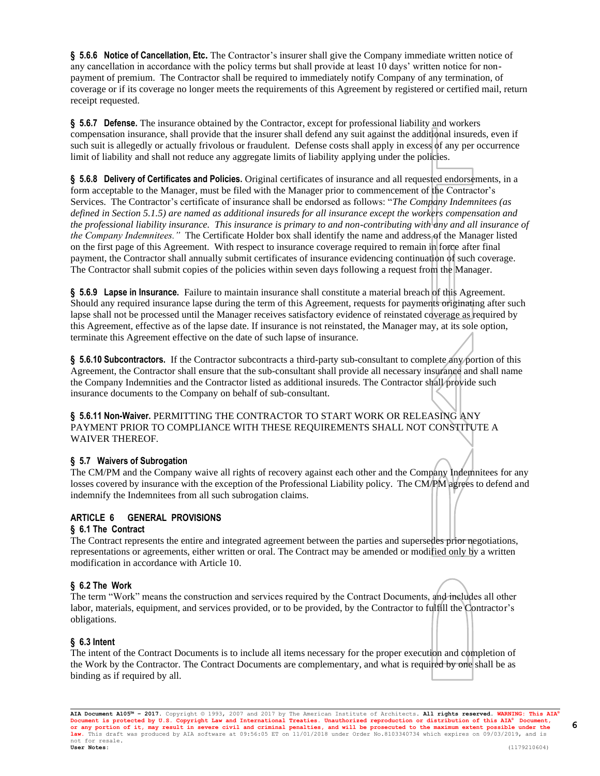**§ 5.6.6 Notice of Cancellation, Etc.** The Contractor's insurer shall give the Company immediate written notice of any cancellation in accordance with the policy terms but shall provide at least 10 days' written notice for nonpayment of premium. The Contractor shall be required to immediately notify Company of any termination, of coverage or if its coverage no longer meets the requirements of this Agreement by registered or certified mail, return receipt requested.

**§ 5.6.7 Defense.** The insurance obtained by the Contractor, except for professional liability and workers compensation insurance, shall provide that the insurer shall defend any suit against the additional insureds, even if such suit is allegedly or actually frivolous or fraudulent. Defense costs shall apply in excess of any per occurrence limit of liability and shall not reduce any aggregate limits of liability applying under the policies.

**§ 5.6.8 Delivery of Certificates and Policies.** Original certificates of insurance and all requested endorsements, in a form acceptable to the Manager, must be filed with the Manager prior to commencement of the Contractor's Services. The Contractor's certificate of insurance shall be endorsed as follows: "*The Company Indemnitees (as defined in Section 5.1.5) are named as additional insureds for all insurance except the workers compensation and the professional liability insurance. This insurance is primary to and non-contributing with any and all insurance of the Company Indemnitees.*" The Certificate Holder box shall identify the name and address of the Manager listed on the first page of this Agreement. With respect to insurance coverage required to remain in force after final payment, the Contractor shall annually submit certificates of insurance evidencing continuation of such coverage. The Contractor shall submit copies of the policies within seven days following a request from the Manager.

**§ 5.6.9 Lapse in Insurance.** Failure to maintain insurance shall constitute a material breach of this Agreement. Should any required insurance lapse during the term of this Agreement, requests for payments originating after such lapse shall not be processed until the Manager receives satisfactory evidence of reinstated coverage as required by this Agreement, effective as of the lapse date. If insurance is not reinstated, the Manager may, at its sole option, terminate this Agreement effective on the date of such lapse of insurance.

**§ 5.6.10 Subcontractors.** If the Contractor subcontracts a third-party sub-consultant to complete any portion of this Agreement, the Contractor shall ensure that the sub-consultant shall provide all necessary insurance and shall name the Company Indemnities and the Contractor listed as additional insureds. The Contractor shall provide such insurance documents to the Company on behalf of sub-consultant.

**§ 5.6.11 Non-Waiver.** PERMITTING THE CONTRACTOR TO START WORK OR RELEASING ANY PAYMENT PRIOR TO COMPLIANCE WITH THESE REQUIREMENTS SHALL NOT CONSTITUTE A WAIVER THEREOF.

## **§ 5.7 Waivers of Subrogation**

The CM/PM and the Company waive all rights of recovery against each other and the Company Indemnitees for any losses covered by insurance with the exception of the Professional Liability policy. The CM/PM agrees to defend and indemnify the Indemnitees from all such subrogation claims.

## **ARTICLE 6 GENERAL PROVISIONS**

### **§ 6.1 The Contract**

The Contract represents the entire and integrated agreement between the parties and supersedes prior negotiations, representations or agreements, either written or oral. The Contract may be amended or modified only by a written modification in accordance with Article 10.

### **§ 6.2 The Work**

The term "Work" means the construction and services required by the Contract Documents, and includes all other labor, materials, equipment, and services provided, or to be provided, by the Contractor to fulfill the Contractor's obligations.

### **§ 6.3 Intent**

The intent of the Contract Documents is to include all items necessary for the proper execution and completion of the Work by the Contractor. The Contract Documents are complementary, and what is required by one shall be as binding as if required by all.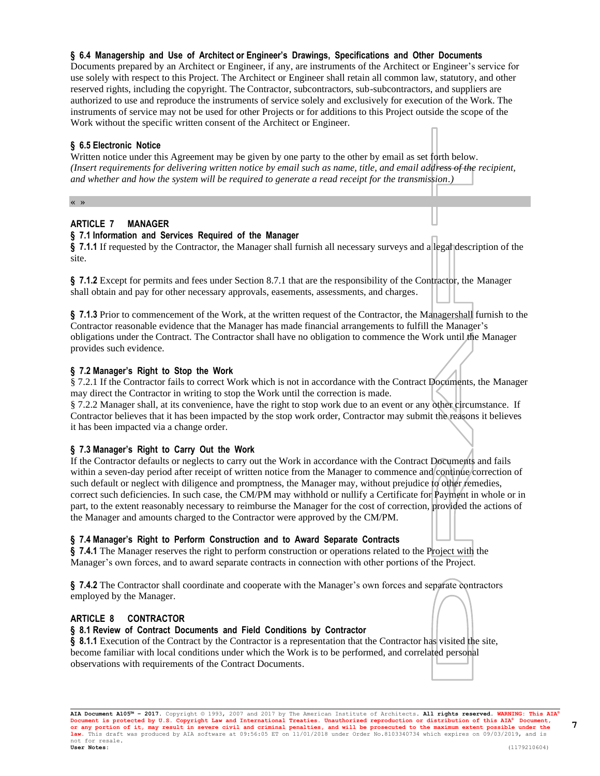#### reserved rights, including the copyright. The Contractor, subcontractors, sub-subcontractors, and suppliers are authorized to use and reproduce the instruments of service solely and exclusively for execution of the Work. The

Documents prepared by an Architect or Engineer, if any, are instruments of the Architect or Engineer's service for use solely with respect to this Project. The Architect or Engineer shall retain all common law, statutory, and other

**§ 6.4 Managership and Use of Architect or Engineer's Drawings, Specifications and Other Documents**

instruments of service may not be used for other Projects or for additions to this Project outside the scope of the Work without the specific written consent of the Architect or Engineer.

#### **§ 6.5 Electronic Notice**

Written notice under this Agreement may be given by one party to the other by email as set forth below. *(Insert requirements for delivering written notice by email such as name, title, and email address of the recipient, and whether and how the system will be required to generate a read receipt for the transmission.)*

« »

### **ARTICLE 7 MANAGER**

#### **§ 7.1 Information and Services Required of the Manager**

**§ 7.1.1** If requested by the Contractor, the Manager shall furnish all necessary surveys and a legal description of the site.

**§ 7.1.2** Except for permits and fees under Section 8.7.1 that are the responsibility of the Contractor, the Manager shall obtain and pay for other necessary approvals, easements, assessments, and charges.

**§ 7.1.3** Prior to commencement of the Work, at the written request of the Contractor, the Managershall furnish to the Contractor reasonable evidence that the Manager has made financial arrangements to fulfill the Manager's obligations under the Contract. The Contractor shall have no obligation to commence the Work until the Manager provides such evidence.

#### **§ 7.2 Manager's Right to Stop the Work**

§ 7.2.1 If the Contractor fails to correct Work which is not in accordance with the Contract Documents, the Manager may direct the Contractor in writing to stop the Work until the correction is made.

§ 7.2.2 Manager shall, at its convenience, have the right to stop work due to an event or any other circumstance. If Contractor believes that it has been impacted by the stop work order, Contractor may submit the reasons it believes it has been impacted via a change order.

#### **§ 7.3 Manager's Right to Carry Out the Work**

If the Contractor defaults or neglects to carry out the Work in accordance with the Contract Documents and fails within a seven-day period after receipt of written notice from the Manager to commence and continue correction of such default or neglect with diligence and promptness, the Manager may, without prejudice to other remedies, correct such deficiencies. In such case, the CM/PM may withhold or nullify a Certificate for Payment in whole or in part, to the extent reasonably necessary to reimburse the Manager for the cost of correction, provided the actions of the Manager and amounts charged to the Contractor were approved by the CM/PM.

#### **§ 7.4 Manager's Right to Perform Construction and to Award Separate Contracts**

**§ 7.4.1** The Manager reserves the right to perform construction or operations related to the Project with the Manager's own forces, and to award separate contracts in connection with other portions of the Project.

**§ 7.4.2** The Contractor shall coordinate and cooperate with the Manager's own forces and separate contractors employed by the Manager.

#### **ARTICLE 8 CONTRACTOR**

#### **§ 8.1 Review of Contract Documents and Field Conditions by Contractor**

§ **8.1.1** Execution of the Contract by the Contractor is a representation that the Contractor has visited the site, become familiar with local conditions under which the Work is to be performed, and correlated personal observations with requirements of the Contract Documents.

**AIA Document A105™ – 2017.** Copyright © 1993, 2007 and 2017 by The American Institute of Architects**. All rights reserved. WARNING: This AIA®**  Document is protected by U.S. Copyright Law and International Treaties. Unauthorized reproduction or distribution of this AIA® Document,<br>or any portion of it, may result in severe civil and criminal penalties, and will be **law.** This draft was produced by AIA software at 09:56:05 ET on 11/01/2018 under Order No.8103340734 which expires on 09/03/2019, and is not for resale.<br>**User Notes: User Notes:** (1179210604)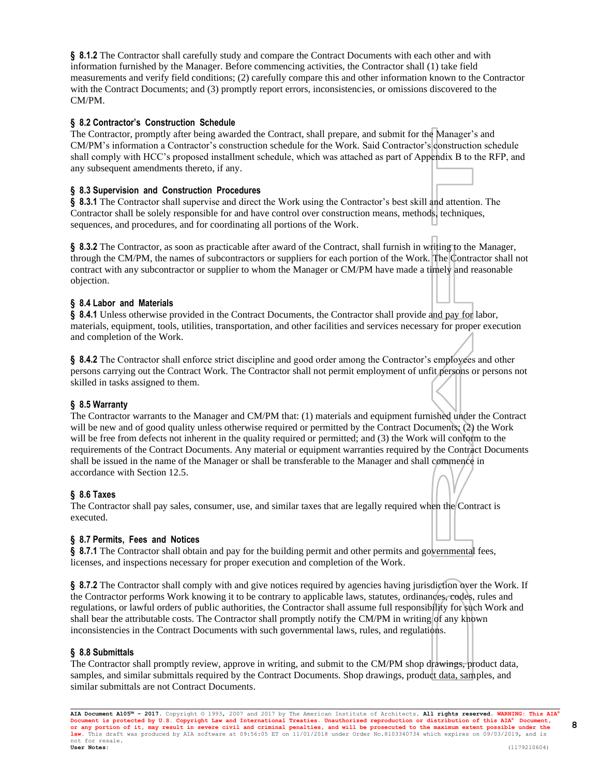**§ 8.1.2** The Contractor shall carefully study and compare the Contract Documents with each other and with information furnished by the Manager. Before commencing activities, the Contractor shall (1) take field measurements and verify field conditions; (2) carefully compare this and other information known to the Contractor with the Contract Documents; and (3) promptly report errors, inconsistencies, or omissions discovered to the CM/PM.

### **§ 8.2 Contractor's Construction Schedule**

The Contractor, promptly after being awarded the Contract, shall prepare, and submit for the Manager's and CM/PM's information a Contractor's construction schedule for the Work. Said Contractor's construction schedule shall comply with HCC's proposed installment schedule, which was attached as part of Appendix B to the RFP, and any subsequent amendments thereto, if any.

#### **§ 8.3 Supervision and Construction Procedures**

**§ 8.3.1** The Contractor shall supervise and direct the Work using the Contractor's best skill and attention. The Contractor shall be solely responsible for and have control over construction means, methods, techniques, sequences, and procedures, and for coordinating all portions of the Work.

§ **8.3.2** The Contractor, as soon as practicable after award of the Contract, shall furnish in writing to the Manager, through the CM/PM, the names of subcontractors or suppliers for each portion of the Work. The Contractor shall not contract with any subcontractor or supplier to whom the Manager or CM/PM have made a timely and reasonable objection.

#### **§ 8.4 Labor and Materials**

**§ 8.4.1** Unless otherwise provided in the Contract Documents, the Contractor shall provide and pay for labor, materials, equipment, tools, utilities, transportation, and other facilities and services necessary for proper execution and completion of the Work.

**§ 8.4.2** The Contractor shall enforce strict discipline and good order among the Contractor's employees and other persons carrying out the Contract Work. The Contractor shall not permit employment of unfit persons or persons not skilled in tasks assigned to them.

#### **§ 8.5 Warranty**

The Contractor warrants to the Manager and CM/PM that: (1) materials and equipment furnished under the Contract will be new and of good quality unless otherwise required or permitted by the Contract Documents; (2) the Work will be free from defects not inherent in the quality required or permitted; and (3) the Work will conform to the requirements of the Contract Documents. Any material or equipment warranties required by the Contract Documents shall be issued in the name of the Manager or shall be transferable to the Manager and shall commence in accordance with Section 12.5.

### **§ 8.6 Taxes**

The Contractor shall pay sales, consumer, use, and similar taxes that are legally required when the Contract is executed.

#### **§ 8.7 Permits, Fees and Notices**

**§ 8.7.1** The Contractor shall obtain and pay for the building permit and other permits and governmental fees, licenses, and inspections necessary for proper execution and completion of the Work.

**§ 8.7.2** The Contractor shall comply with and give notices required by agencies having jurisdiction over the Work. If the Contractor performs Work knowing it to be contrary to applicable laws, statutes, ordinances, codes, rules and regulations, or lawful orders of public authorities, the Contractor shall assume full responsibility for such Work and shall bear the attributable costs. The Contractor shall promptly notify the CM/PM in writing of any known inconsistencies in the Contract Documents with such governmental laws, rules, and regulations.

## **§ 8.8 Submittals**

The Contractor shall promptly review, approve in writing, and submit to the CM/PM shop drawings, product data, samples, and similar submittals required by the Contract Documents. Shop drawings, product data, samples, and similar submittals are not Contract Documents.

**AIA Document A105™ – 2017.** Copyright © 1993, 2007 and 2017 by The American Institute of Architects**. All rights reserved. WARNING: This AIA®**  Document is protected by U.S. Copyright Law and International Treaties. Unauthorized reproduction or distribution of this AIA® Document,<br>or any portion of it, may result in severe civil and criminal penalties, and will be **law.** This draft was produced by AIA software at 09:56:05 ET on 11/01/2018 under Order No.8103340734 which expires on 09/03/2019, and is not for resale.<br>**User Notes: User Notes:** (1179210604)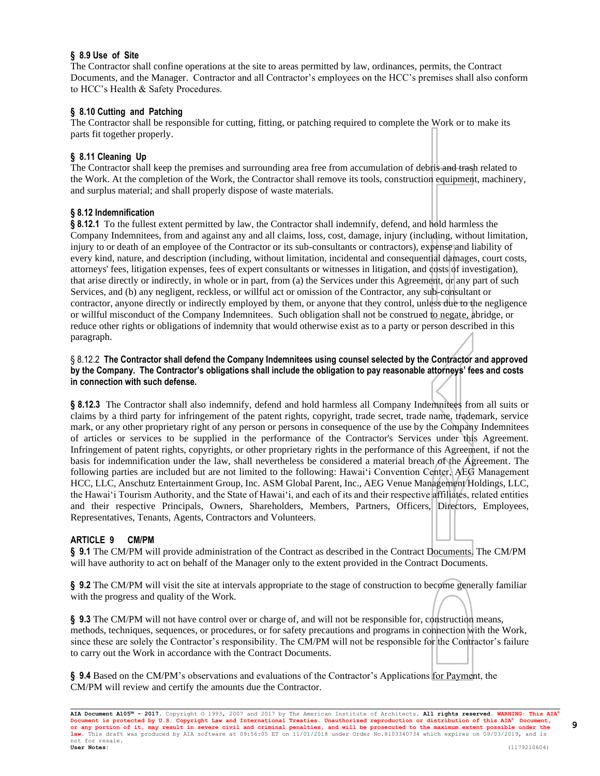## **§ 8.9 Use of Site**

The Contractor shall confine operations at the site to areas permitted by law, ordinances, permits, the Contract Documents, and the Manager. Contractor and all Contractor's employees on the HCC's premises shall also conform to HCC's Health & Safety Procedures.

## **§ 8.10 Cutting and Patching**

The Contractor shall be responsible for cutting, fitting, or patching required to complete the Work or to make its parts fit together properly.

## **§ 8.11 Cleaning Up**

The Contractor shall keep the premises and surrounding area free from accumulation of debris and trash related to the Work. At the completion of the Work, the Contractor shall remove its tools, construction equipment, machinery, and surplus material; and shall properly dispose of waste materials.

## **§ 8.12 Indemnification**

**§ 8.12.1** To the fullest extent permitted by law, the Contractor shall indemnify, defend, and hold harmless the Company Indemnitees, from and against any and all claims, loss, cost, damage, injury (including, without limitation, injury to or death of an employee of the Contractor or its sub-consultants or contractors), expense and liability of every kind, nature, and description (including, without limitation, incidental and consequential damages, court costs, attorneys' fees, litigation expenses, fees of expert consultants or witnesses in litigation, and costs of investigation), that arise directly or indirectly, in whole or in part, from (a) the Services under this Agreement, or any part of such Services, and (b) any negligent, reckless, or willful act or omission of the Contractor, any sub-consultant or contractor, anyone directly or indirectly employed by them, or anyone that they control, unless due to the negligence or willful misconduct of the Company Indemnitees. Such obligation shall not be construed to negate, abridge, or reduce other rights or obligations of indemnity that would otherwise exist as to a party or person described in this paragraph.

#### § 8.12.2 The Contractor shall defend the Company Indemnitees using counsel selected by the Contractor and approved **by the Company. The Contractor's obligations shall include the obligation to pay reasonable attorneys' fees and costs in connection with such defense.**

**§ 8.12.3** The Contractor shall also indemnify, defend and hold harmless all Company Indemnitees from all suits or claims by a third party for infringement of the patent rights, copyright, trade secret, trade name, trademark, service mark, or any other proprietary right of any person or persons in consequence of the use by the Company Indemnitees of articles or services to be supplied in the performance of the Contractor's Services under this Agreement. Infringement of patent rights, copyrights, or other proprietary rights in the performance of this Agreement, if not the basis for indemnification under the law, shall nevertheless be considered a material breach of the Agreement. The following parties are included but are not limited to the following: Hawai'i Convention Center, AEG Management HCC, LLC, Anschutz Entertainment Group, Inc. ASM Global Parent, Inc., AEG Venue Management Holdings, LLC, the Hawai'i Tourism Authority, and the State of Hawai'i, and each of its and their respective affiliates, related entities and their respective Principals, Owners, Shareholders, Members, Partners, Officers, Directors, Employees, Representatives, Tenants, Agents, Contractors and Volunteers.

### **ARTICLE 9 CM/PM**

**§ 9.1** The CM/PM will provide administration of the Contract as described in the Contract Documents. The CM/PM will have authority to act on behalf of the Manager only to the extent provided in the Contract Documents.

**§ 9.2** The CM/PM will visit the site at intervals appropriate to the stage of construction to become generally familiar with the progress and quality of the Work.

**§ 9.3** The CM/PM will not have control over or charge of, and will not be responsible for, construction means, methods, techniques, sequences, or procedures, or for safety precautions and programs in connection with the Work, since these are solely the Contractor's responsibility. The CM/PM will not be responsible for the Contractor's failure to carry out the Work in accordance with the Contract Documents.

**§ 9.4** Based on the CM/PM's observations and evaluations of the Contractor's Applications for Payment, the CM/PM will review and certify the amounts due the Contractor.

**AIA Document A105™ – 2017.** Copyright © 1993, 2007 and 2017 by The American Institute of Architects**. All rights reserved. WARNING: This AIA®**  Document is protected by U.S. Copyright Law and International Treaties. Unauthorized reproduction or distribution of this AIA® Document,<br>or any portion of it, may result in severe civil and criminal penalties, and will be **law.** This draft was produced by AIA software at 09:56:05 ET on 11/01/2018 under Order No.8103340734 which expires on 09/03/2019, and is not for resale.<br>**User Notes: User Notes:** (1179210604)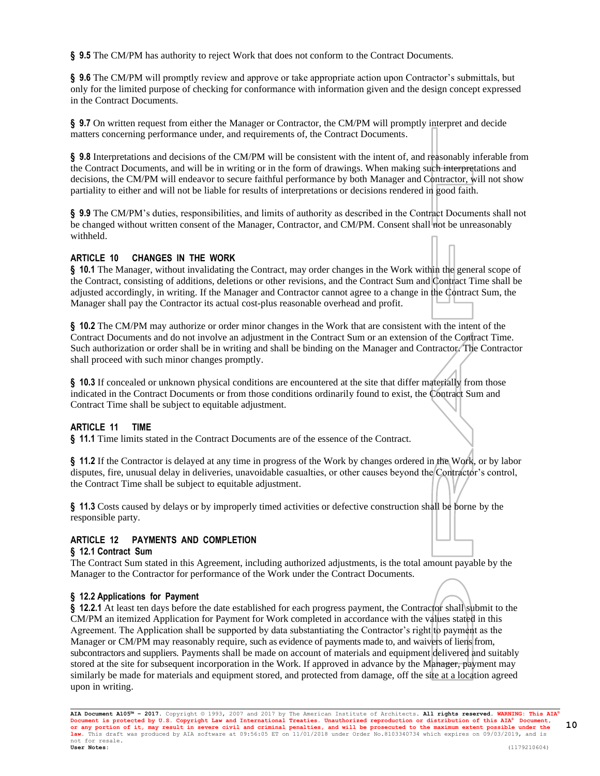**§ 9.5** The CM/PM has authority to reject Work that does not conform to the Contract Documents.

**§ 9.6** The CM/PM will promptly review and approve or take appropriate action upon Contractor's submittals, but only for the limited purpose of checking for conformance with information given and the design concept expressed in the Contract Documents.

§ 9.7 On written request from either the Manager or Contractor, the CM/PM will promptly interpret and decide matters concerning performance under, and requirements of, the Contract Documents.

**§ 9.8** Interpretations and decisions of the CM/PM will be consistent with the intent of, and reasonably inferable from the Contract Documents, and will be in writing or in the form of drawings. When making such interpretations and decisions, the CM/PM will endeavor to secure faithful performance by both Manager and Contractor, will not show partiality to either and will not be liable for results of interpretations or decisions rendered in good faith.

**§ 9.9** The CM/PM's duties, responsibilities, and limits of authority as described in the Contract Documents shall not be changed without written consent of the Manager, Contractor, and CM/PM. Consent shall not be unreasonably withheld.

## **ARTICLE 10 CHANGES IN THE WORK**

**§ 10.1** The Manager, without invalidating the Contract, may order changes in the Work within the general scope of the Contract, consisting of additions, deletions or other revisions, and the Contract Sum and Contract Time shall be adjusted accordingly, in writing. If the Manager and Contractor cannot agree to a change in the Contract Sum, the Manager shall pay the Contractor its actual cost-plus reasonable overhead and profit.

**§ 10.2** The CM/PM may authorize or order minor changes in the Work that are consistent with the intent of the Contract Documents and do not involve an adjustment in the Contract Sum or an extension of the Contract Time. Such authorization or order shall be in writing and shall be binding on the Manager and Contractor. The Contractor shall proceed with such minor changes promptly.

**§ 10.3** If concealed or unknown physical conditions are encountered at the site that differ materially from those indicated in the Contract Documents or from those conditions ordinarily found to exist, the Contract Sum and Contract Time shall be subject to equitable adjustment.

### **ARTICLE 11 TIME**

**§ 11.1** Time limits stated in the Contract Documents are of the essence of the Contract.

**§ 11.2** If the Contractor is delayed at any time in progress of the Work by changes ordered in the Work, or by labor disputes, fire, unusual delay in deliveries, unavoidable casualties, or other causes beyond the Contractor's control, the Contract Time shall be subject to equitable adjustment.

**§ 11.3** Costs caused by delays or by improperly timed activities or defective construction shall be borne by the responsible party.

### **ARTICLE 12 PAYMENTS AND COMPLETION**

#### **§ 12.1 Contract Sum**

The Contract Sum stated in this Agreement, including authorized adjustments, is the total amount payable by the Manager to the Contractor for performance of the Work under the Contract Documents.

#### **§ 12.2 Applications for Payment**

**§ 12.2.1** At least ten days before the date established for each progress payment, the Contractor shall submit to the CM/PM an itemized Application for Payment for Work completed in accordance with the values stated in this Agreement. The Application shall be supported by data substantiating the Contractor's right to payment as the Manager or CM/PM may reasonably require, such as evidence of payments made to, and waivers of liens from, subcontractors and suppliers. Payments shall be made on account of materials and equipment delivered and suitably stored at the site for subsequent incorporation in the Work. If approved in advance by the Manager, payment may similarly be made for materials and equipment stored, and protected from damage, off the site at a location agreed upon in writing.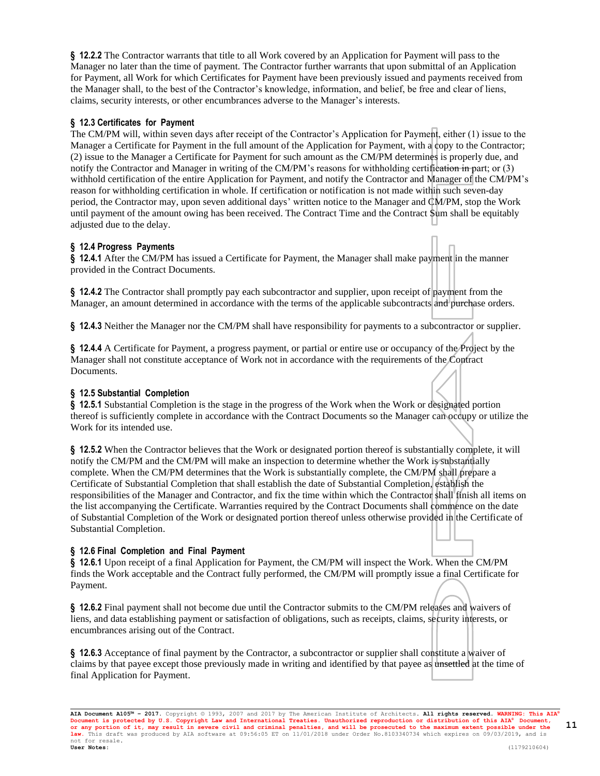**§ 12.2.2** The Contractor warrants that title to all Work covered by an Application for Payment will pass to the Manager no later than the time of payment. The Contractor further warrants that upon submittal of an Application for Payment, all Work for which Certificates for Payment have been previously issued and payments received from the Manager shall, to the best of the Contractor's knowledge, information, and belief, be free and clear of liens, claims, security interests, or other encumbrances adverse to the Manager's interests.

## **§ 12.3 Certificates for Payment**

The CM/PM will, within seven days after receipt of the Contractor's Application for Payment, either (1) issue to the Manager a Certificate for Payment in the full amount of the Application for Payment, with a copy to the Contractor; (2) issue to the Manager a Certificate for Payment for such amount as the CM/PM determines is properly due, and notify the Contractor and Manager in writing of the CM/PM's reasons for withholding certification in part; or (3) withhold certification of the entire Application for Payment, and notify the Contractor and Manager of the CM/PM's reason for withholding certification in whole. If certification or notification is not made within such seven-day period, the Contractor may, upon seven additional days' written notice to the Manager and CM/PM, stop the Work until payment of the amount owing has been received. The Contract Time and the Contract Sum shall be equitably adjusted due to the delay.

## **§ 12.4 Progress Payments**

**§ 12.4.1** After the CM/PM has issued a Certificate for Payment, the Manager shall make payment in the manner provided in the Contract Documents.

**§ 12.4.2** The Contractor shall promptly pay each subcontractor and supplier, upon receipt of payment from the Manager, an amount determined in accordance with the terms of the applicable subcontracts and purchase orders.

**§ 12.4.3** Neither the Manager nor the CM/PM shall have responsibility for payments to a subcontractor or supplier.

**§ 12.4.4** A Certificate for Payment, a progress payment, or partial or entire use or occupancy of the Project by the Manager shall not constitute acceptance of Work not in accordance with the requirements of the Contract Documents.

## **§ 12.5 Substantial Completion**

**§ 12.5.1** Substantial Completion is the stage in the progress of the Work when the Work or designated portion thereof is sufficiently complete in accordance with the Contract Documents so the Manager can occupy or utilize the Work for its intended use.

**§ 12.5.2** When the Contractor believes that the Work or designated portion thereof is substantially complete, it will notify the CM/PM and the CM/PM will make an inspection to determine whether the Work is substantially complete. When the CM/PM determines that the Work is substantially complete, the CM/PM shall prepare a Certificate of Substantial Completion that shall establish the date of Substantial Completion, establish the responsibilities of the Manager and Contractor, and fix the time within which the Contractor shall finish all items on the list accompanying the Certificate. Warranties required by the Contract Documents shall commence on the date of Substantial Completion of the Work or designated portion thereof unless otherwise provided in the Certificate of Substantial Completion.

## **§ 12.6 Final Completion and Final Payment**

**§ 12.6.1** Upon receipt of a final Application for Payment, the CM/PM will inspect the Work. When the CM/PM finds the Work acceptable and the Contract fully performed, the CM/PM will promptly issue a final Certificate for Payment.

**§ 12.6.2** Final payment shall not become due until the Contractor submits to the CM/PM releases and waivers of liens, and data establishing payment or satisfaction of obligations, such as receipts, claims, security interests, or encumbrances arising out of the Contract.

**§ 12.6.3** Acceptance of final payment by the Contractor, a subcontractor or supplier shall constitute a waiver of claims by that payee except those previously made in writing and identified by that payee as unsettled at the time of final Application for Payment.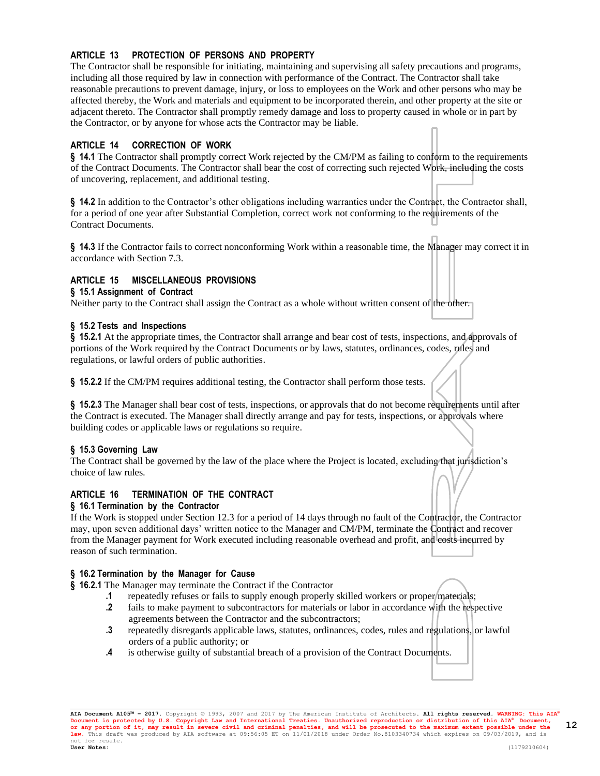## **ARTICLE 13 PROTECTION OF PERSONS AND PROPERTY**

The Contractor shall be responsible for initiating, maintaining and supervising all safety precautions and programs, including all those required by law in connection with performance of the Contract. The Contractor shall take reasonable precautions to prevent damage, injury, or loss to employees on the Work and other persons who may be affected thereby, the Work and materials and equipment to be incorporated therein, and other property at the site or adjacent thereto. The Contractor shall promptly remedy damage and loss to property caused in whole or in part by the Contractor, or by anyone for whose acts the Contractor may be liable.

## **ARTICLE 14 CORRECTION OF WORK**

**§ 14.1** The Contractor shall promptly correct Work rejected by the CM/PM as failing to conform to the requirements of the Contract Documents. The Contractor shall bear the cost of correcting such rejected Work, including the costs of uncovering, replacement, and additional testing.

**§ 14.2** In addition to the Contractor's other obligations including warranties under the Contract, the Contractor shall, for a period of one year after Substantial Completion, correct work not conforming to the requirements of the Contract Documents.

**§ 14.3** If the Contractor fails to correct nonconforming Work within a reasonable time, the Manager may correct it in accordance with Section 7.3.

## **ARTICLE 15 MISCELLANEOUS PROVISIONS**

#### **§ 15.1 Assignment of Contract**

Neither party to the Contract shall assign the Contract as a whole without written consent of the other.

#### **§ 15.2 Tests and Inspections**

**§ 15.2.1** At the appropriate times, the Contractor shall arrange and bear cost of tests, inspections, and approvals of portions of the Work required by the Contract Documents or by laws, statutes, ordinances, codes, rules and regulations, or lawful orders of public authorities.

**§ 15.2.2** If the CM/PM requires additional testing, the Contractor shall perform those tests.

**§ 15.2.3** The Manager shall bear cost of tests, inspections, or approvals that do not become requirements until after the Contract is executed. The Manager shall directly arrange and pay for tests, inspections, or approvals where building codes or applicable laws or regulations so require.

### **§ 15.3 Governing Law**

The Contract shall be governed by the law of the place where the Project is located, excluding that jurisdiction's choice of law rules.

### **ARTICLE 16 TERMINATION OF THE CONTRACT**

#### **§ 16.1 Termination by the Contractor**

If the Work is stopped under Section 12.3 for a period of 14 days through no fault of the Contractor, the Contractor may, upon seven additional days' written notice to the Manager and CM/PM, terminate the Contract and recover from the Manager payment for Work executed including reasonable overhead and profit, and costs incurred by reason of such termination.

### **§ 16.2 Termination by the Manager for Cause**

**§ 16.2.1** The Manager may terminate the Contract if the Contractor

- **.1** repeatedly refuses or fails to supply enough properly skilled workers or proper materials;
- **.2** fails to make payment to subcontractors for materials or labor in accordance with the respective agreements between the Contractor and the subcontractors;
- **.3** repeatedly disregards applicable laws, statutes, ordinances, codes, rules and regulations, or lawful orders of a public authority; or
- **.4** is otherwise guilty of substantial breach of a provision of the Contract Documents.